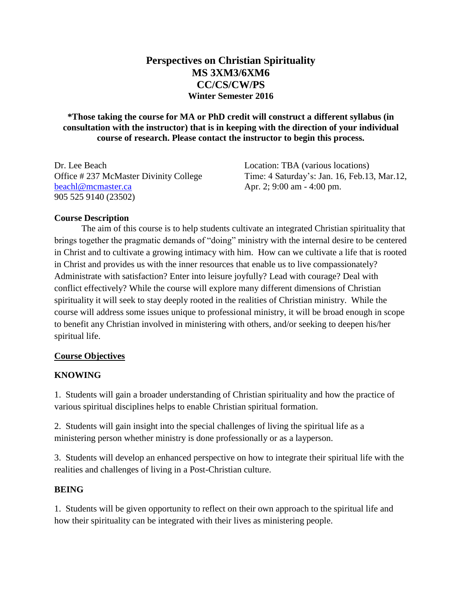# **Perspectives on Christian Spirituality MS 3XM3/6XM6 CC/CS/CW/PS Winter Semester 2016**

**\*Those taking the course for MA or PhD credit will construct a different syllabus (in consultation with the instructor) that is in keeping with the direction of your individual course of research. Please contact the instructor to begin this process.**

Dr. Lee Beach Location: TBA (various locations) Office # 237 McMaster Divinity College Time: 4 Saturday's: Jan. 16, Feb.13, Mar.12, [beachl@mcmaster.ca](mailto:beachl@mcmaster.ca) Apr. 2; 9:00 am - 4:00 pm. 905 525 9140 (23502)

## **Course Description**

The aim of this course is to help students cultivate an integrated Christian spirituality that brings together the pragmatic demands of "doing" ministry with the internal desire to be centered in Christ and to cultivate a growing intimacy with him. How can we cultivate a life that is rooted in Christ and provides us with the inner resources that enable us to live compassionately? Administrate with satisfaction? Enter into leisure joyfully? Lead with courage? Deal with conflict effectively? While the course will explore many different dimensions of Christian spirituality it will seek to stay deeply rooted in the realities of Christian ministry. While the course will address some issues unique to professional ministry, it will be broad enough in scope to benefit any Christian involved in ministering with others, and/or seeking to deepen his/her spiritual life.

## **Course Objectives**

## **KNOWING**

1. Students will gain a broader understanding of Christian spirituality and how the practice of various spiritual disciplines helps to enable Christian spiritual formation.

2. Students will gain insight into the special challenges of living the spiritual life as a ministering person whether ministry is done professionally or as a layperson.

3. Students will develop an enhanced perspective on how to integrate their spiritual life with the realities and challenges of living in a Post-Christian culture.

#### **BEING**

1. Students will be given opportunity to reflect on their own approach to the spiritual life and how their spirituality can be integrated with their lives as ministering people.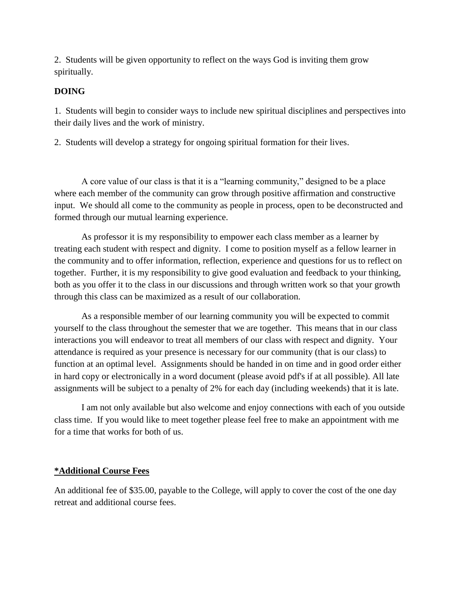2. Students will be given opportunity to reflect on the ways God is inviting them grow spiritually.

## **DOING**

1. Students will begin to consider ways to include new spiritual disciplines and perspectives into their daily lives and the work of ministry.

2. Students will develop a strategy for ongoing spiritual formation for their lives.

A core value of our class is that it is a "learning community," designed to be a place where each member of the community can grow through positive affirmation and constructive input. We should all come to the community as people in process, open to be deconstructed and formed through our mutual learning experience.

As professor it is my responsibility to empower each class member as a learner by treating each student with respect and dignity. I come to position myself as a fellow learner in the community and to offer information, reflection, experience and questions for us to reflect on together. Further, it is my responsibility to give good evaluation and feedback to your thinking, both as you offer it to the class in our discussions and through written work so that your growth through this class can be maximized as a result of our collaboration.

As a responsible member of our learning community you will be expected to commit yourself to the class throughout the semester that we are together. This means that in our class interactions you will endeavor to treat all members of our class with respect and dignity. Your attendance is required as your presence is necessary for our community (that is our class) to function at an optimal level. Assignments should be handed in on time and in good order either in hard copy or electronically in a word document (please avoid pdf's if at all possible). All late assignments will be subject to a penalty of 2% for each day (including weekends) that it is late.

I am not only available but also welcome and enjoy connections with each of you outside class time. If you would like to meet together please feel free to make an appointment with me for a time that works for both of us.

## **\*Additional Course Fees**

An additional fee of \$35.00, payable to the College, will apply to cover the cost of the one day retreat and additional course fees.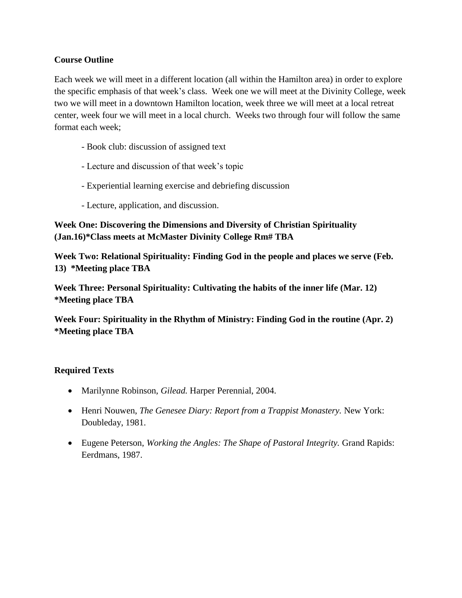## **Course Outline**

Each week we will meet in a different location (all within the Hamilton area) in order to explore the specific emphasis of that week's class. Week one we will meet at the Divinity College, week two we will meet in a downtown Hamilton location, week three we will meet at a local retreat center, week four we will meet in a local church. Weeks two through four will follow the same format each week;

- Book club: discussion of assigned text
- Lecture and discussion of that week's topic
- Experiential learning exercise and debriefing discussion
- Lecture, application, and discussion.

**Week One: Discovering the Dimensions and Diversity of Christian Spirituality (Jan.16)\*Class meets at McMaster Divinity College Rm# TBA**

**Week Two: Relational Spirituality: Finding God in the people and places we serve (Feb. 13) \*Meeting place TBA**

**Week Three: Personal Spirituality: Cultivating the habits of the inner life (Mar. 12) \*Meeting place TBA**

**Week Four: Spirituality in the Rhythm of Ministry: Finding God in the routine (Apr. 2) \*Meeting place TBA**

## **Required Texts**

- Marilynne Robinson, *Gilead*. Harper Perennial, 2004.
- Henri Nouwen, *The Genesee Diary: Report from a Trappist Monastery.* New York: Doubleday, 1981.
- Eugene Peterson, *Working the Angles: The Shape of Pastoral Integrity.* Grand Rapids: Eerdmans, 1987.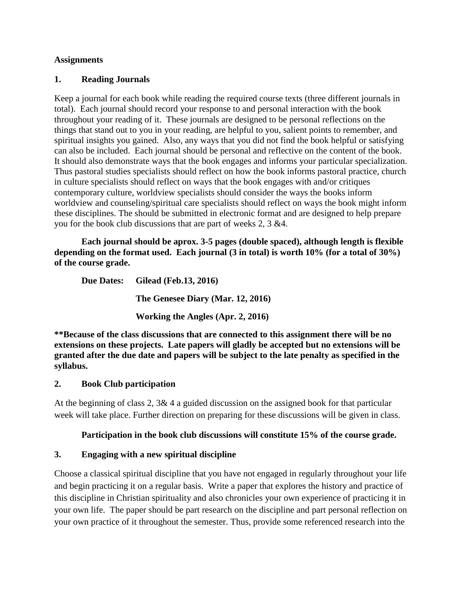#### **Assignments**

### **1. Reading Journals**

Keep a journal for each book while reading the required course texts (three different journals in total). Each journal should record your response to and personal interaction with the book throughout your reading of it. These journals are designed to be personal reflections on the things that stand out to you in your reading, are helpful to you, salient points to remember, and spiritual insights you gained. Also, any ways that you did not find the book helpful or satisfying can also be included. Each journal should be personal and reflective on the content of the book. It should also demonstrate ways that the book engages and informs your particular specialization. Thus pastoral studies specialists should reflect on how the book informs pastoral practice, church in culture specialists should reflect on ways that the book engages with and/or critiques contemporary culture, worldview specialists should consider the ways the books inform worldview and counseling/spiritual care specialists should reflect on ways the book might inform these disciplines. The should be submitted in electronic format and are designed to help prepare you for the book club discussions that are part of weeks 2, 3 &4.

**Each journal should be aprox. 3-5 pages (double spaced), although length is flexible depending on the format used. Each journal (3 in total) is worth 10% (for a total of 30%) of the course grade.** 

**Due Dates: Gilead (Feb.13, 2016) The Genesee Diary (Mar. 12, 2016) Working the Angles (Apr. 2, 2016)**

**\*\*Because of the class discussions that are connected to this assignment there will be no extensions on these projects. Late papers will gladly be accepted but no extensions will be granted after the due date and papers will be subject to the late penalty as specified in the syllabus.**

## **2. Book Club participation**

At the beginning of class 2,  $3\& 4$  a guided discussion on the assigned book for that particular week will take place. Further direction on preparing for these discussions will be given in class.

## **Participation in the book club discussions will constitute 15% of the course grade.**

## **3. Engaging with a new spiritual discipline**

Choose a classical spiritual discipline that you have not engaged in regularly throughout your life and begin practicing it on a regular basis. Write a paper that explores the history and practice of this discipline in Christian spirituality and also chronicles your own experience of practicing it in your own life. The paper should be part research on the discipline and part personal reflection on your own practice of it throughout the semester. Thus, provide some referenced research into the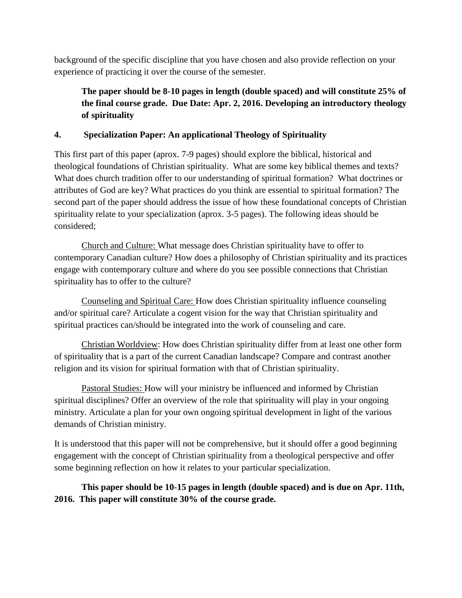background of the specific discipline that you have chosen and also provide reflection on your experience of practicing it over the course of the semester.

# **The paper should be 8-10 pages in length (double spaced) and will constitute 25% of the final course grade. Due Date: Apr. 2, 2016. Developing an introductory theology of spirituality**

# **4. Specialization Paper: An applicational Theology of Spirituality**

This first part of this paper (aprox. 7-9 pages) should explore the biblical, historical and theological foundations of Christian spirituality. What are some key biblical themes and texts? What does church tradition offer to our understanding of spiritual formation? What doctrines or attributes of God are key? What practices do you think are essential to spiritual formation? The second part of the paper should address the issue of how these foundational concepts of Christian spirituality relate to your specialization (aprox. 3-5 pages). The following ideas should be considered;

Church and Culture: What message does Christian spirituality have to offer to contemporary Canadian culture? How does a philosophy of Christian spirituality and its practices engage with contemporary culture and where do you see possible connections that Christian spirituality has to offer to the culture?

Counseling and Spiritual Care: How does Christian spirituality influence counseling and/or spiritual care? Articulate a cogent vision for the way that Christian spirituality and spiritual practices can/should be integrated into the work of counseling and care.

Christian Worldview: How does Christian spirituality differ from at least one other form of spirituality that is a part of the current Canadian landscape? Compare and contrast another religion and its vision for spiritual formation with that of Christian spirituality.

Pastoral Studies: How will your ministry be influenced and informed by Christian spiritual disciplines? Offer an overview of the role that spirituality will play in your ongoing ministry. Articulate a plan for your own ongoing spiritual development in light of the various demands of Christian ministry.

It is understood that this paper will not be comprehensive, but it should offer a good beginning engagement with the concept of Christian spirituality from a theological perspective and offer some beginning reflection on how it relates to your particular specialization.

**This paper should be 10-15 pages in length (double spaced) and is due on Apr. 11th, 2016. This paper will constitute 30% of the course grade.**